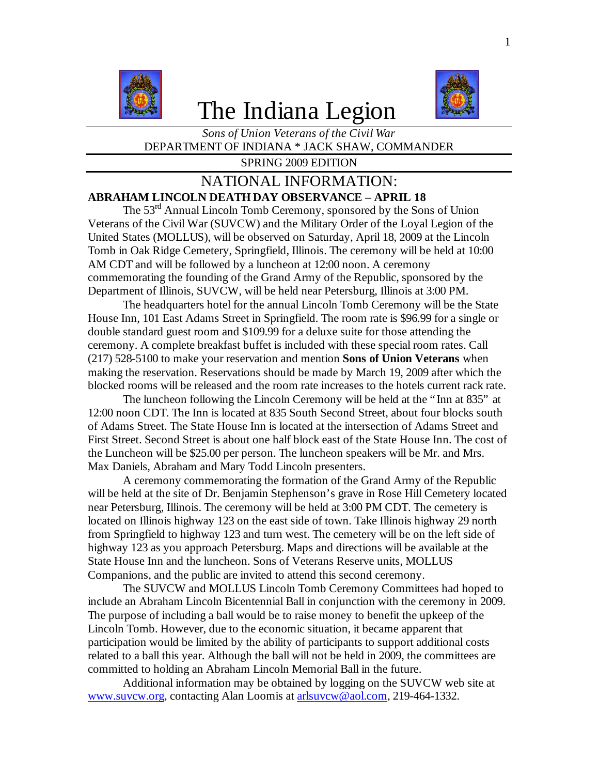

# The Indiana Legion



*Sons of Union Veterans of the Civil War* DEPARTMENT OF INDIANA \* JACK SHAW, COMMANDER

SPRING 2009 EDITION

# NATIONAL INFORMATION: **ABRAHAM LINCOLN DEATH DAY OBSERVANCE – APRIL 18**

The 53rd Annual Lincoln Tomb Ceremony, sponsored by the Sons of Union Veterans of the Civil War (SUVCW) and the Military Order of the Loyal Legion of the United States (MOLLUS), will be observed on Saturday, April 18, 2009 at the Lincoln Tomb in Oak Ridge Cemetery, Springfield, Illinois. The ceremony will be held at 10:00 AM CDT and will be followed by a luncheon at 12:00 noon. A ceremony commemorating the founding of the Grand Army of the Republic, sponsored by the Department of Illinois, SUVCW, will be held near Petersburg, Illinois at 3:00 PM.

The headquarters hotel for the annual Lincoln Tomb Ceremony will be the State House Inn, 101 East Adams Street in Springfield. The room rate is \$96.99 for a single or double standard guest room and \$109.99 for a deluxe suite for those attending the ceremony. A complete breakfast buffet is included with these special room rates. Call (217) 528-5100 to make your reservation and mention **Sons of Union Veterans** when making the reservation. Reservations should be made by March 19, 2009 after which the blocked rooms will be released and the room rate increases to the hotels current rack rate.

The luncheon following the Lincoln Ceremony will be held at the "Inn at 835" at 12:00 noon CDT. The Inn is located at 835 South Second Street, about four blocks south of Adams Street. The State House Inn is located at the intersection of Adams Street and First Street. Second Street is about one half block east of the State House Inn. The cost of the Luncheon will be \$25.00 per person. The luncheon speakers will be Mr. and Mrs. Max Daniels, Abraham and Mary Todd Lincoln presenters.

A ceremony commemorating the formation of the Grand Army of the Republic will be held at the site of Dr. Benjamin Stephenson's grave in Rose Hill Cemetery located near Petersburg, Illinois. The ceremony will be held at 3:00 PM CDT. The cemetery is located on Illinois highway 123 on the east side of town. Take Illinois highway 29 north from Springfield to highway 123 and turn west. The cemetery will be on the left side of highway 123 as you approach Petersburg. Maps and directions will be available at the State House Inn and the luncheon. Sons of Veterans Reserve units, MOLLUS Companions, and the public are invited to attend this second ceremony.

The SUVCW and MOLLUS Lincoln Tomb Ceremony Committees had hoped to include an Abraham Lincoln Bicentennial Ball in conjunction with the ceremony in 2009. The purpose of including a ball would be to raise money to benefit the upkeep of the Lincoln Tomb. However, due to the economic situation, it became apparent that participation would be limited by the ability of participants to support additional costs related to a ball this year. Although the ball will not be held in 2009, the committees are committed to holding an Abraham Lincoln Memorial Ball in the future.

Additional information may be obtained by logging on the SUVCW web site at www.suvcw.org, contacting Alan Loomis at arlsuvcw@aol.com, 219-464-1332.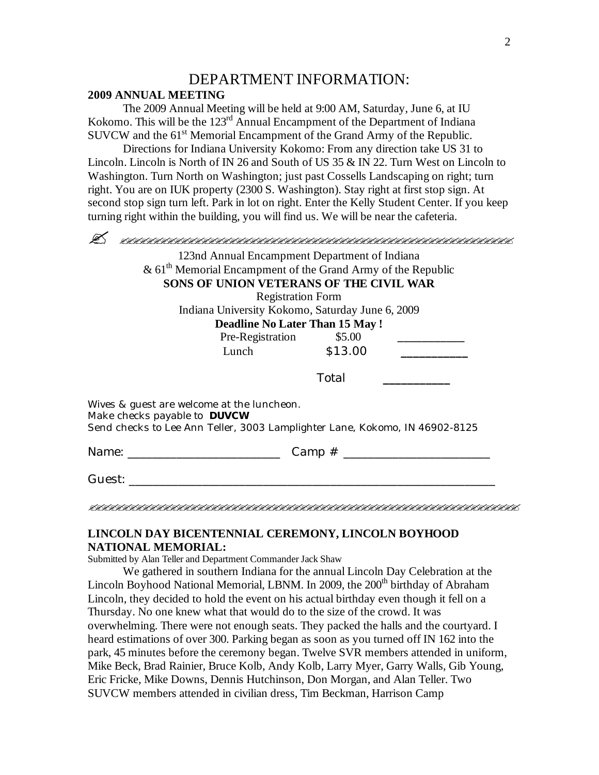# DEPARTMENT INFORMATION:

#### **2009 ANNUAL MEETING**

The 2009 Annual Meeting will be held at 9:00 AM, Saturday, June 6, at IU Kokomo. This will be the 123<sup>rd</sup> Annual Encampment of the Department of Indiana  $SUVCW$  and the  $61<sup>st</sup>$  Memorial Encampment of the Grand Army of the Republic.

Directions for Indiana University Kokomo: From any direction take US 31 to Lincoln. Lincoln is North of IN 26 and South of US 35 & IN 22. Turn West on Lincoln to Washington. Turn North on Washington; just past Cossells Landscaping on right; turn right. You are on IUK property (2300 S. Washington). Stay right at first stop sign. At second stop sign turn left. Park in lot on right. Enter the Kelly Student Center. If you keep turning right within the building, you will find us. We will be near the cafeteria.

|                                                                                                                                                                  | 123nd Annual Encampment Department of Indiana                  |       |  |
|------------------------------------------------------------------------------------------------------------------------------------------------------------------|----------------------------------------------------------------|-------|--|
|                                                                                                                                                                  | & $61th$ Memorial Encampment of the Grand Army of the Republic |       |  |
|                                                                                                                                                                  | SONS OF UNION VETERANS OF THE CIVIL WAR                        |       |  |
|                                                                                                                                                                  | <b>Registration Form</b>                                       |       |  |
|                                                                                                                                                                  | Indiana University Kokomo, Saturday June 6, 2009               |       |  |
|                                                                                                                                                                  | <b>Deadline No Later Than 15 May!</b>                          |       |  |
|                                                                                                                                                                  | Pre-Registration \$5.00                                        |       |  |
|                                                                                                                                                                  | Lunch \$13.00                                                  |       |  |
|                                                                                                                                                                  |                                                                | Total |  |
| Wives & guest are welcome at the luncheon.<br>Make checks payable to <b>DUVCW</b><br>Send checks to Lee Ann Teller, 3003 Lamplighter Lane, Kokomo, IN 46902-8125 |                                                                |       |  |
|                                                                                                                                                                  |                                                                |       |  |
| Guest: <b>Carl Contract Contract Stru</b>                                                                                                                        |                                                                |       |  |

### **LINCOLN DAY BICENTENNIAL CEREMONY, LINCOLN BOYHOOD NATIONAL MEMORIAL:**

## Submitted by Alan Teller and Department Commander Jack Shaw

We gathered in southern Indiana for the annual Lincoln Day Celebration at the Lincoln Boyhood National Memorial, LBNM. In 2009, the 200<sup>th</sup> birthday of Abraham Lincoln, they decided to hold the event on his actual birthday even though it fell on a Thursday. No one knew what that would do to the size of the crowd. It was overwhelming. There were not enough seats. They packed the halls and the courtyard. I heard estimations of over 300. Parking began as soon as you turned off IN 162 into the park, 45 minutes before the ceremony began. Twelve SVR members attended in uniform, Mike Beck, Brad Rainier, Bruce Kolb, Andy Kolb, Larry Myer, Garry Walls, Gib Young, Eric Fricke, Mike Downs, Dennis Hutchinson, Don Morgan, and Alan Teller. Two SUVCW members attended in civilian dress, Tim Beckman, Harrison Camp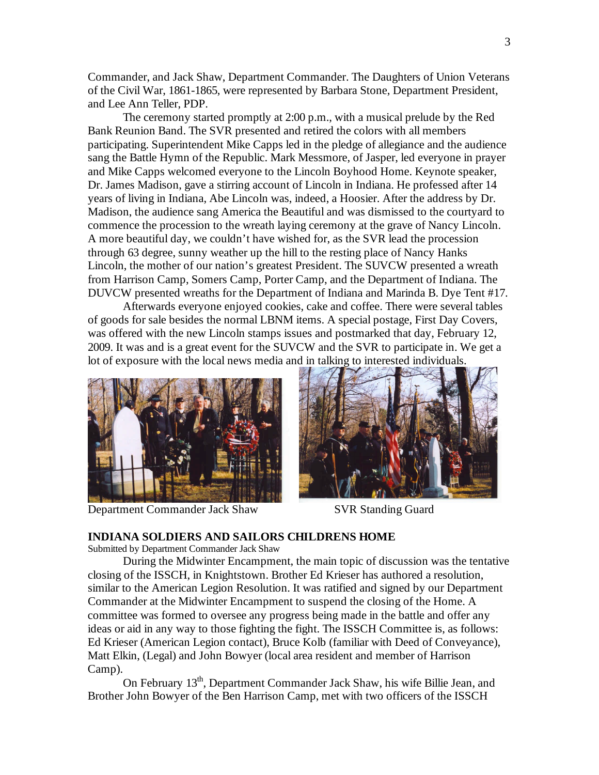Commander, and Jack Shaw, Department Commander. The Daughters of Union Veterans of the Civil War, 1861-1865, were represented by Barbara Stone, Department President, and Lee Ann Teller, PDP.

The ceremony started promptly at 2:00 p.m., with a musical prelude by the Red Bank Reunion Band. The SVR presented and retired the colors with all members participating. Superintendent Mike Capps led in the pledge of allegiance and the audience sang the Battle Hymn of the Republic. Mark Messmore, of Jasper, led everyone in prayer and Mike Capps welcomed everyone to the Lincoln Boyhood Home. Keynote speaker, Dr. James Madison, gave a stirring account of Lincoln in Indiana. He professed after 14 years of living in Indiana, Abe Lincoln was, indeed, a Hoosier. After the address by Dr. Madison, the audience sang America the Beautiful and was dismissed to the courtyard to commence the procession to the wreath laying ceremony at the grave of Nancy Lincoln. A more beautiful day, we couldn't have wished for, as the SVR lead the procession through 63 degree, sunny weather up the hill to the resting place of Nancy Hanks Lincoln, the mother of our nation's greatest President. The SUVCW presented a wreath from Harrison Camp, Somers Camp, Porter Camp, and the Department of Indiana. The DUVCW presented wreaths for the Department of Indiana and Marinda B. Dye Tent #17.

Afterwards everyone enjoyed cookies, cake and coffee. There were several tables of goods for sale besides the normal LBNM items. A special postage, First Day Covers, was offered with the new Lincoln stamps issues and postmarked that day, February 12, 2009. It was and is a great event for the SUVCW and the SVR to participate in. We get a lot of exposure with the local news media and in talking to interested individuals.



Department Commander Jack Shaw SVR Standing Guard



#### **INDIANA SOLDIERS AND SAILORS CHILDRENS HOME**

Submitted by Department Commander Jack Shaw

During the Midwinter Encampment, the main topic of discussion was the tentative closing of the ISSCH, in Knightstown. Brother Ed Krieser has authored a resolution, similar to the American Legion Resolution. It was ratified and signed by our Department Commander at the Midwinter Encampment to suspend the closing of the Home. A committee was formed to oversee any progress being made in the battle and offer any ideas or aid in any way to those fighting the fight. The ISSCH Committee is, as follows: Ed Krieser (American Legion contact), Bruce Kolb (familiar with Deed of Conveyance), Matt Elkin, (Legal) and John Bowyer (local area resident and member of Harrison Camp).

On February 13<sup>th</sup>, Department Commander Jack Shaw, his wife Billie Jean, and Brother John Bowyer of the Ben Harrison Camp, met with two officers of the ISSCH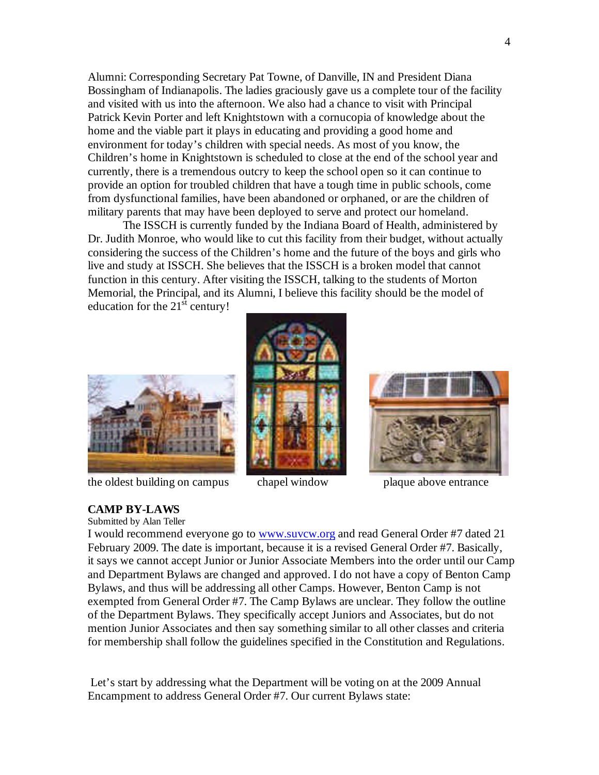Alumni: Corresponding Secretary Pat Towne, of Danville, IN and President Diana Bossingham of Indianapolis. The ladies graciously gave us a complete tour of the facility and visited with us into the afternoon. We also had a chance to visit with Principal Patrick Kevin Porter and left Knightstown with a cornucopia of knowledge about the home and the viable part it plays in educating and providing a good home and environment for today's children with special needs. As most of you know, the Children's home in Knightstown is scheduled to close at the end of the school year and currently, there is a tremendous outcry to keep the school open so it can continue to provide an option for troubled children that have a tough time in public schools, come from dysfunctional families, have been abandoned or orphaned, or are the children of military parents that may have been deployed to serve and protect our homeland.

The ISSCH is currently funded by the Indiana Board of Health, administered by Dr. Judith Monroe, who would like to cut this facility from their budget, without actually considering the success of the Children's home and the future of the boys and girls who live and study at ISSCH. She believes that the ISSCH is a broken model that cannot function in this century. After visiting the ISSCH, talking to the students of Morton Memorial, the Principal, and its Alumni, I believe this facility should be the model of education for the  $21<sup>st</sup>$  century!





the oldest building on campus chapel window plaque above entrance





#### **CAMP BY-LAWS**

Submitted by Alan Teller

I would recommend everyone go to www.suvcw.org and read General Order #7 dated 21 February 2009. The date is important, because it is a revised General Order #7. Basically, it says we cannot accept Junior or Junior Associate Members into the order until our Camp and Department Bylaws are changed and approved. I do not have a copy of Benton Camp Bylaws, and thus will be addressing all other Camps. However, Benton Camp is not exempted from General Order #7. The Camp Bylaws are unclear. They follow the outline of the Department Bylaws. They specifically accept Juniors and Associates, but do not mention Junior Associates and then say something similar to all other classes and criteria for membership shall follow the guidelines specified in the Constitution and Regulations.

Let's start by addressing what the Department will be voting on at the 2009 Annual Encampment to address General Order #7. Our current Bylaws state: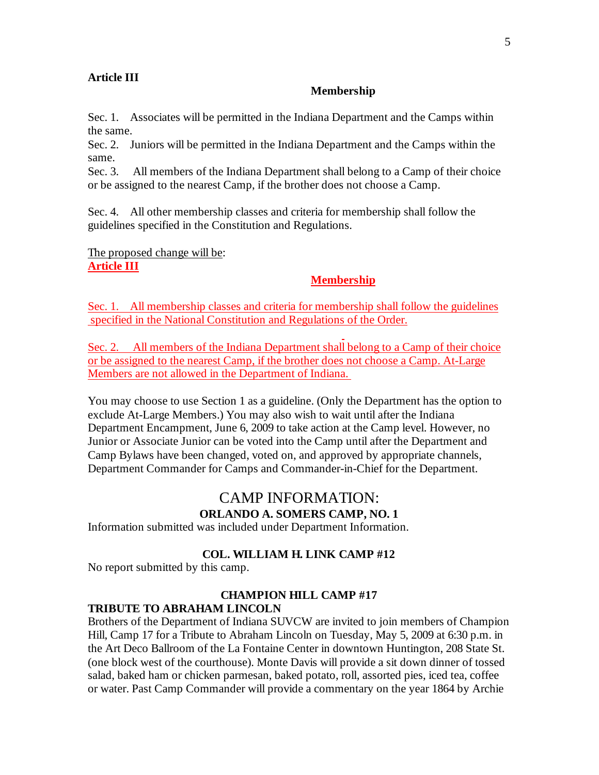#### **Article III**

#### **Membership**

Sec. 1. Associates will be permitted in the Indiana Department and the Camps within the same.

Sec. 2. Juniors will be permitted in the Indiana Department and the Camps within the same.

Sec. 3. All members of the Indiana Department shall belong to a Camp of their choice or be assigned to the nearest Camp, if the brother does not choose a Camp.

Sec. 4. All other membership classes and criteria for membership shall follow the guidelines specified in the Constitution and Regulations.

The proposed change will be: **Article III**

#### **Membership**

Sec. 1. All membership classes and criteria for membership shall follow the guidelines specified in the National Constitution and Regulations of the Order.

Sec. 2. All members of the Indiana Department shall belong to a Camp of their choice or be assigned to the nearest Camp, if the brother does not choose a Camp. At-Large Members are not allowed in the Department of Indiana.

You may choose to use Section 1 as a guideline. (Only the Department has the option to exclude At-Large Members.) You may also wish to wait until after the Indiana Department Encampment, June 6, 2009 to take action at the Camp level. However, no Junior or Associate Junior can be voted into the Camp until after the Department and Camp Bylaws have been changed, voted on, and approved by appropriate channels, Department Commander for Camps and Commander-in-Chief for the Department.

# CAMP INFORMATION:

#### **ORLANDO A. SOMERS CAMP, NO. 1**

Information submitted was included under Department Information.

#### **COL. WILLIAM H. LINK CAMP #12**

No report submitted by this camp.

#### **CHAMPION HILL CAMP #17**

#### **TRIBUTE TO ABRAHAM LINCOLN**

Brothers of the Department of Indiana SUVCW are invited to join members of Champion Hill, Camp 17 for a Tribute to Abraham Lincoln on Tuesday, May 5, 2009 at 6:30 p.m. in the Art Deco Ballroom of the La Fontaine Center in downtown Huntington, 208 State St. (one block west of the courthouse). Monte Davis will provide a sit down dinner of tossed salad, baked ham or chicken parmesan, baked potato, roll, assorted pies, iced tea, coffee or water. Past Camp Commander will provide a commentary on the year 1864 by Archie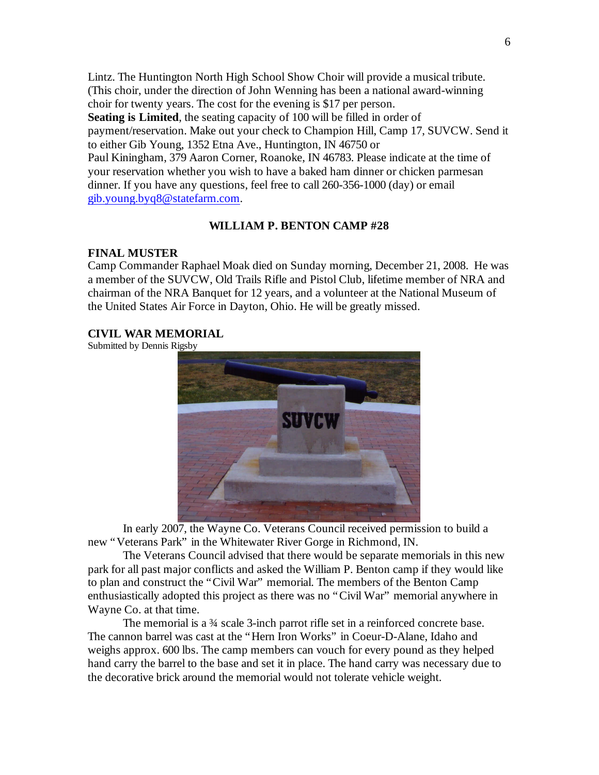Lintz. The Huntington North High School Show Choir will provide a musical tribute. (This choir, under the direction of John Wenning has been a national award-winning choir for twenty years. The cost for the evening is \$17 per person. **Seating is Limited**, the seating capacity of 100 will be filled in order of payment/reservation. Make out your check to Champion Hill, Camp 17, SUVCW. Send it to either Gib Young, 1352 Etna Ave., Huntington, IN 46750 or Paul Kiningham, 379 Aaron Corner, Roanoke, IN 46783. Please indicate at the time of your reservation whether you wish to have a baked ham dinner or chicken parmesan dinner. If you have any questions, feel free to call 260-356-1000 (day) or email gib.young.byq8@statefarm.com.

### **WILLIAM P. BENTON CAMP #28**

#### **FINAL MUSTER**

Camp Commander Raphael Moak died on Sunday morning, December 21, 2008. He was a member of the SUVCW, Old Trails Rifle and Pistol Club, lifetime member of NRA and chairman of the NRA Banquet for 12 years, and a volunteer at the National Museum of the United States Air Force in Dayton, Ohio. He will be greatly missed.

#### **CIVIL WAR MEMORIAL**

Submitted by Dennis Rigsby



In early 2007, the Wayne Co. Veterans Council received permission to build a new "Veterans Park" in the Whitewater River Gorge in Richmond, IN.

The Veterans Council advised that there would be separate memorials in this new park for all past major conflicts and asked the William P. Benton camp if they would like to plan and construct the "Civil War" memorial. The members of the Benton Camp enthusiastically adopted this project as there was no "Civil War" memorial anywhere in Wayne Co. at that time.

The memorial is a 3<sup>4</sup> scale 3-inch parrot rifle set in a reinforced concrete base. The cannon barrel was cast at the "Hern Iron Works" in Coeur-D-Alane, Idaho and weighs approx. 600 lbs. The camp members can vouch for every pound as they helped hand carry the barrel to the base and set it in place. The hand carry was necessary due to the decorative brick around the memorial would not tolerate vehicle weight.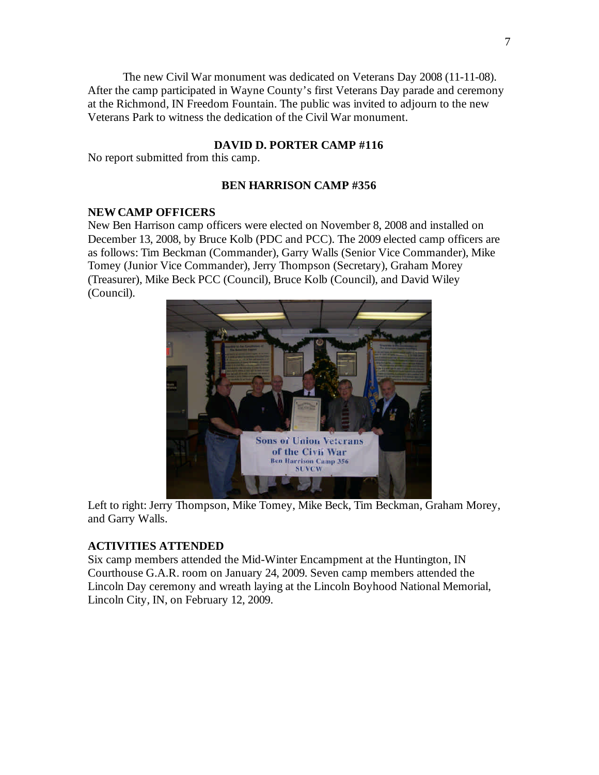The new Civil War monument was dedicated on Veterans Day 2008 (11-11-08). After the camp participated in Wayne County's first Veterans Day parade and ceremony at the Richmond, IN Freedom Fountain. The public was invited to adjourn to the new Veterans Park to witness the dedication of the Civil War monument.

#### **DAVID D. PORTER CAMP #116**

No report submitted from this camp.

#### **BEN HARRISON CAMP #356**

#### **NEW CAMP OFFICERS**

New Ben Harrison camp officers were elected on November 8, 2008 and installed on December 13, 2008, by Bruce Kolb (PDC and PCC). The 2009 elected camp officers are as follows: Tim Beckman (Commander), Garry Walls (Senior Vice Commander), Mike Tomey (Junior Vice Commander), Jerry Thompson (Secretary), Graham Morey (Treasurer), Mike Beck PCC (Council), Bruce Kolb (Council), and David Wiley (Council).



Left to right: Jerry Thompson, Mike Tomey, Mike Beck, Tim Beckman, Graham Morey, and Garry Walls.

#### **ACTIVITIES ATTENDED**

Six camp members attended the Mid-Winter Encampment at the Huntington, IN Courthouse G.A.R. room on January 24, 2009. Seven camp members attended the Lincoln Day ceremony and wreath laying at the Lincoln Boyhood National Memorial, Lincoln City, IN, on February 12, 2009.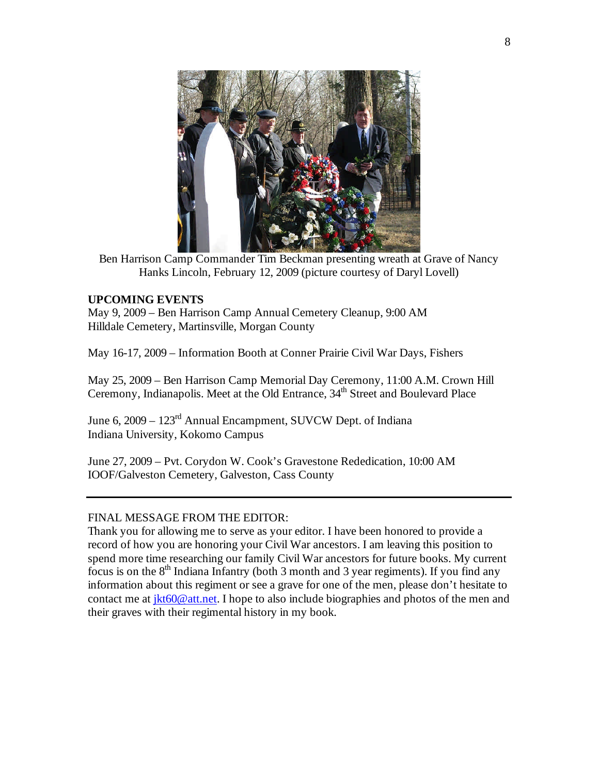

Ben Harrison Camp Commander Tim Beckman presenting wreath at Grave of Nancy Hanks Lincoln, February 12, 2009 (picture courtesy of Daryl Lovell)

#### **UPCOMING EVENTS**

May 9, 2009 – Ben Harrison Camp Annual Cemetery Cleanup, 9:00 AM Hilldale Cemetery, Martinsville, Morgan County

May 16-17, 2009 – Information Booth at Conner Prairie Civil War Days, Fishers

May 25, 2009 – Ben Harrison Camp Memorial Day Ceremony, 11:00 A.M. Crown Hill Ceremony, Indianapolis. Meet at the Old Entrance, 34<sup>th</sup> Street and Boulevard Place

June 6, 2009 – 123rd Annual Encampment, SUVCW Dept. of Indiana Indiana University, Kokomo Campus

June 27, 2009 – Pvt. Corydon W. Cook's Gravestone Rededication, 10:00 AM IOOF/Galveston Cemetery, Galveston, Cass County

#### FINAL MESSAGE FROM THE EDITOR:

Thank you for allowing me to serve as your editor. I have been honored to provide a record of how you are honoring your Civil War ancestors. I am leaving this position to spend more time researching our family Civil War ancestors for future books. My current focus is on the  $8<sup>th</sup>$  Indiana Infantry (both 3 month and 3 year regiments). If you find any information about this regiment or see a grave for one of the men, please don't hesitate to contact me at jkt60@att.net. I hope to also include biographies and photos of the men and their graves with their regimental history in my book.